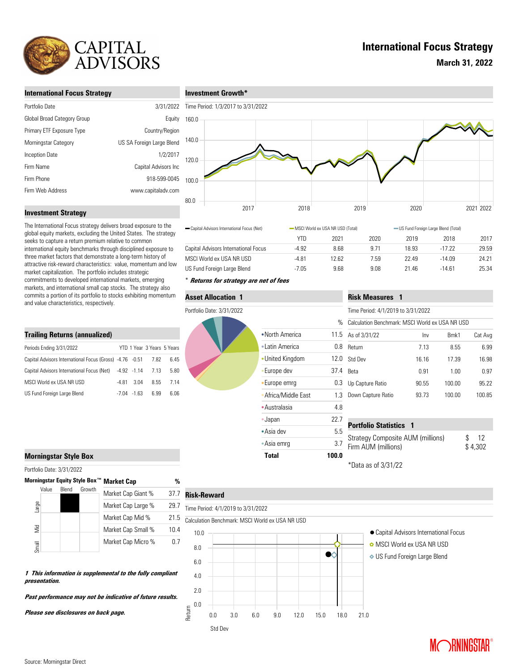

# **International Focus Strategy**

**March 31, 2022**

## **International Focus Strategy**

| 3/31/2022                 |
|---------------------------|
| Equity                    |
| Country/Region            |
| US SA Foreign Large Blend |
| 1/2/2017                  |
| Capital Advisors Inc      |
| 918-599-0045              |
| www.capitaladv.com        |
|                           |

### **Investment Growth\***



## **Investment Strategy**

The International Focus strategy delivers broad exposure to the global equity markets, excluding the United States. The strategy seeks to capture a return premium relative to common international equity benchmarks through disciplined exposure to three market factors that demonstrate a long-term history of attractive risk-reward characteristics: value, momentum and low market capitalization. The portfolio includes strategic commitments to developed international markets, emerging markets, and international small cap stocks. The strategy also commits a portion of its portfolio to stocks exhibiting momentum and value characteristics, respectively.

#### **Trailing Returns (annualized)**

| Periods Ending 3/31/2022                                      |       |                | YTD 1 Year 3 Years 5 Years |      |
|---------------------------------------------------------------|-------|----------------|----------------------------|------|
| Capital Advisors International Focus (Gross) -4.76 -0.51 7.82 |       |                |                            | 6.45 |
| Capital Advisors International Focus (Net) -4.92 -1.14 7.13   |       |                |                            | 5.80 |
| MSCI World ex USA NR USD                                      | -4 81 | 3.04           | 8.55                       | 7 14 |
| US Fund Foreign Large Blend                                   |       | $-7.04 - 1.63$ | 6.99                       | 6.06 |

| 80.0 |                                              |         |                                                                            |      |       |          |           |       |
|------|----------------------------------------------|---------|----------------------------------------------------------------------------|------|-------|----------|-----------|-------|
|      | 2017                                         | 2018    |                                                                            | 2019 | 2020  |          | 2021 2022 |       |
|      | - Capital Advisors International Focus (Net) |         | -MSCI World ex USA NR USD (Total)<br>- US Fund Foreign Large Blend (Total) |      |       |          |           |       |
|      |                                              | YTD     | 2021                                                                       | 2020 | 2019  | 2018     |           | 2017  |
|      | Capital Advisors International Focus         | $-4.92$ | 8.68                                                                       | 9.71 | 18.93 | $-17.22$ |           | 29.59 |
|      | MSCI World ex USA NR USD                     | $-4.81$ | 12.62                                                                      | 7.59 | 22.49 | $-14.09$ |           | 24.21 |
|      | US Fund Foreign Large Blend                  | $-7.05$ | 9.68                                                                       | 9.08 | 21.46 | $-14.61$ |           | 25.34 |

## \* **Returns for strategy are net of fees**

### **Asset Allocation 1**

Portfolio Date: 3/31/2022



|                    |       | Time Period: 4/1/2019 to 3/31/2022                                        |       |        |         |  |
|--------------------|-------|---------------------------------------------------------------------------|-------|--------|---------|--|
|                    | $\%$  | Calculation Benchmark: MSCI World ex USA NR USD                           |       |        |         |  |
| North America      | 11.5  | As of 3/31/22                                                             | Inv   | Bmk1   | Cat Avg |  |
| Latin America      | 0.8   | Return                                                                    | 7.13  | 8.55   | 6.99    |  |
| United Kingdom     | 12.0  | Std Dev                                                                   | 16.16 | 17.39  | 16.98   |  |
| Europe dev         | 37.4  | <b>Beta</b>                                                               | 0.91  | 1.00   | 0.97    |  |
| Europe emrg        | 0.3   | Up Capture Ratio                                                          | 90.55 | 100.00 | 95.22   |  |
| Africa/Middle East | 1.3   | Down Capture Ratio                                                        | 93.73 | 100.00 | 100.85  |  |
| Australasia        | 4.8   |                                                                           |       |        |         |  |
| Japan              | 22.7  | <b>Portfolio Statistics 1</b>                                             |       |        |         |  |
| Asia dev           | 5.5   |                                                                           |       |        |         |  |
| Asia emrq          | 3.7   | Strategy Composite AUM (millions)<br>12<br>Firm AUM (millions)<br>\$4,302 |       |        |         |  |
| Total              | 100.0 |                                                                           |       |        |         |  |

**Risk Measures 1**

\*Data as of 3/31/22

### **Morningstar Style Box**

Portfolio Date: 3/31/2022

| Morningstar Equity Style Box™ |       |       |        | <b>Market Cap</b>  | %    |
|-------------------------------|-------|-------|--------|--------------------|------|
|                               | Value | Blend | Growth | Market Cap Giant % | 37.7 |
| Large                         |       |       |        | Market Cap Large % | 29 7 |
|                               |       |       |        | Market Cap Mid %   | 21.5 |
| $\tilde{\Xi}$                 |       |       |        | Market Cap Small % | 10.4 |
| Small                         |       |       |        | Market Cap Micro % | 07   |

**1 This information is supplemental to the fully compliant** 

**Past performance may not be indicative of future results.** 

#### $37.7$ **Risk-Reward**

# Time Period: 4/1/2019 to 3/31/2022



- 
- MSCI World ex USA NR USD
- US Fund Foreign Large Blend



**Please see disclosures on back page.**

**presentation.**